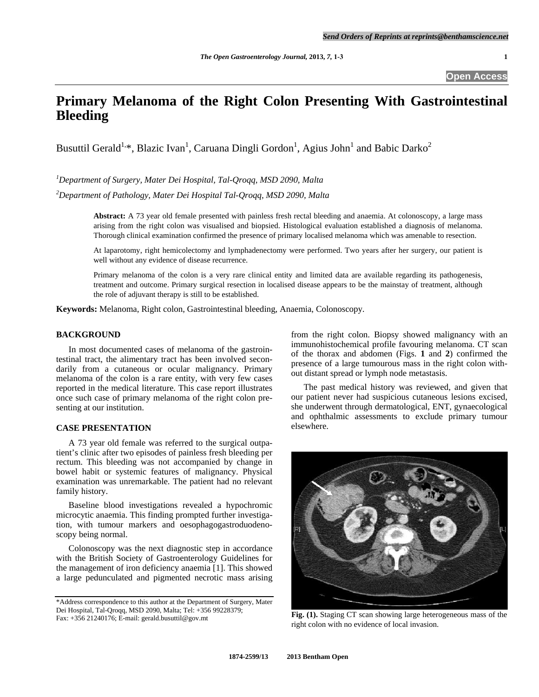**Open Access** 

# **Primary Melanoma of the Right Colon Presenting With Gastrointestinal Bleeding**

Busuttil Gerald<sup>1,\*</sup>, Blazic Ivan<sup>1</sup>, Caruana Dingli Gordon<sup>1</sup>, Agius John<sup>1</sup> and Babic Darko<sup>2</sup>

*1 Department of Surgery, Mater Dei Hospital, Tal-Qroqq, MSD 2090, Malta* 

*2 Department of Pathology, Mater Dei Hospital Tal-Qroqq, MSD 2090, Malta* 

**Abstract:** A 73 year old female presented with painless fresh rectal bleeding and anaemia. At colonoscopy, a large mass arising from the right colon was visualised and biopsied. Histological evaluation established a diagnosis of melanoma. Thorough clinical examination confirmed the presence of primary localised melanoma which was amenable to resection.

At laparotomy, right hemicolectomy and lymphadenectomy were performed. Two years after her surgery, our patient is well without any evidence of disease recurrence.

Primary melanoma of the colon is a very rare clinical entity and limited data are available regarding its pathogenesis, treatment and outcome. Primary surgical resection in localised disease appears to be the mainstay of treatment, although the role of adjuvant therapy is still to be established.

**Keywords:** Melanoma, Right colon, Gastrointestinal bleeding, Anaemia, Colonoscopy.

#### **BACKGROUND**

 In most documented cases of melanoma of the gastrointestinal tract, the alimentary tract has been involved secondarily from a cutaneous or ocular malignancy. Primary melanoma of the colon is a rare entity, with very few cases reported in the medical literature. This case report illustrates once such case of primary melanoma of the right colon presenting at our institution.

### **CASE PRESENTATION**

 A 73 year old female was referred to the surgical outpatient's clinic after two episodes of painless fresh bleeding per rectum. This bleeding was not accompanied by change in bowel habit or systemic features of malignancy. Physical examination was unremarkable. The patient had no relevant family history.

 Baseline blood investigations revealed a hypochromic microcytic anaemia. This finding prompted further investigation, with tumour markers and oesophagogastroduodenoscopy being normal.

 Colonoscopy was the next diagnostic step in accordance with the British Society of Gastroenterology Guidelines for the management of iron deficiency anaemia [1]. This showed a large pedunculated and pigmented necrotic mass arising from the right colon. Biopsy showed malignancy with an immunohistochemical profile favouring melanoma. CT scan of the thorax and abdomen (Figs. **1** and **2**) confirmed the presence of a large tumourous mass in the right colon without distant spread or lymph node metastasis.

 The past medical history was reviewed, and given that our patient never had suspicious cutaneous lesions excised, she underwent through dermatological, ENT, gynaecological and ophthalmic assessments to exclude primary tumour elsewhere.



**Fig. (1).** Staging CT scan showing large heterogeneous mass of the right colon with no evidence of local invasion.

<sup>\*</sup>Address correspondence to this author at the Department of Surgery, Mater Dei Hospital, Tal-Qroqq, MSD 2090, Malta; Tel: +356 99228379; Fax: +356 21240176; E-mail: gerald.busuttil@gov.mt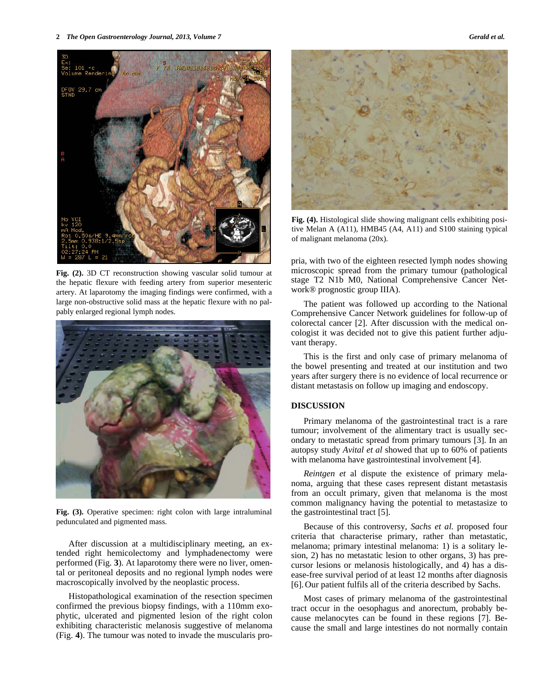**2** *The Open Gastroenterology Journal, 2013, Volume 7* **Gerald et al. <b>***Gerald et al. Gerald et al.* 



**Fig. (2).** 3D CT reconstruction showing vascular solid tumour at the hepatic flexure with feeding artery from superior mesenteric artery. At laparotomy the imaging findings were confirmed, with a large non-obstructive solid mass at the hepatic flexure with no palpably enlarged regional lymph nodes.



**Fig. (3).** Operative specimen: right colon with large intraluminal pedunculated and pigmented mass.

 After discussion at a multidisciplinary meeting, an extended right hemicolectomy and lymphadenectomy were performed (Fig. **3**). At laparotomy there were no liver, omental or peritoneal deposits and no regional lymph nodes were macroscopically involved by the neoplastic process.

 Histopathological examination of the resection specimen confirmed the previous biopsy findings, with a 110mm exophytic, ulcerated and pigmented lesion of the right colon exhibiting characteristic melanosis suggestive of melanoma (Fig. **4**). The tumour was noted to invade the muscularis pro-



**Fig. (4).** Histological slide showing malignant cells exhibiting positive Melan A (A11), HMB45 (A4, A11) and S100 staining typical of malignant melanoma (20x).

pria, with two of the eighteen resected lymph nodes showing microscopic spread from the primary tumour (pathological stage T2 N1b M0, National Comprehensive Cancer Network® prognostic group IIIA).

 The patient was followed up according to the National Comprehensive Cancer Network guidelines for follow-up of colorectal cancer [2]. After discussion with the medical oncologist it was decided not to give this patient further adjuvant therapy.

 This is the first and only case of primary melanoma of the bowel presenting and treated at our institution and two years after surgery there is no evidence of local recurrence or distant metastasis on follow up imaging and endoscopy.

## **DISCUSSION**

 Primary melanoma of the gastrointestinal tract is a rare tumour; involvement of the alimentary tract is usually secondary to metastatic spread from primary tumours [3]. In an autopsy study *Avital et al* showed that up to 60% of patients with melanoma have gastrointestinal involvement [4].

 *Reintgen et* al dispute the existence of primary melanoma, arguing that these cases represent distant metastasis from an occult primary, given that melanoma is the most common malignancy having the potential to metastasize to the gastrointestinal tract [5].

 Because of this controversy*, Sachs et al.* proposed four criteria that characterise primary, rather than metastatic, melanoma; primary intestinal melanoma: 1) is a solitary lesion, 2) has no metastatic lesion to other organs, 3) has precursor lesions or melanosis histologically, and 4) has a disease-free survival period of at least 12 months after diagnosis [6]. Our patient fulfils all of the criteria described by Sachs.

 Most cases of primary melanoma of the gastrointestinal tract occur in the oesophagus and anorectum, probably because melanocytes can be found in these regions [7]. Because the small and large intestines do not normally contain